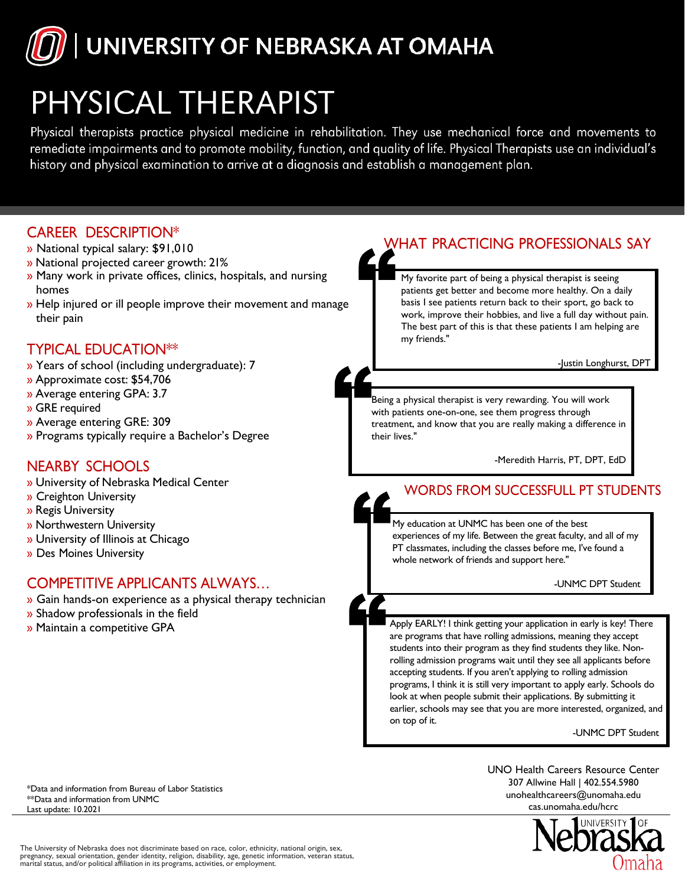

## PHYSICAL THERAPIST

Physical therapists practice physical medicine in rehabilitation. They use mechanical force and movements to remediate impairments and to promote mobility, function, and quality of life. Physical Therapists use an individual's history and physical examination to arrive at a diagnosis and establish a management plan.





The University of Nebraska does not discriminate based on race, color, ethnicity, national origin, sex, pregnancy, sexual orientation, gender identity, religion, disability, age, genetic information, veteran status,<br>marital status, and/or political affiliation in its programs, activities, or employment.